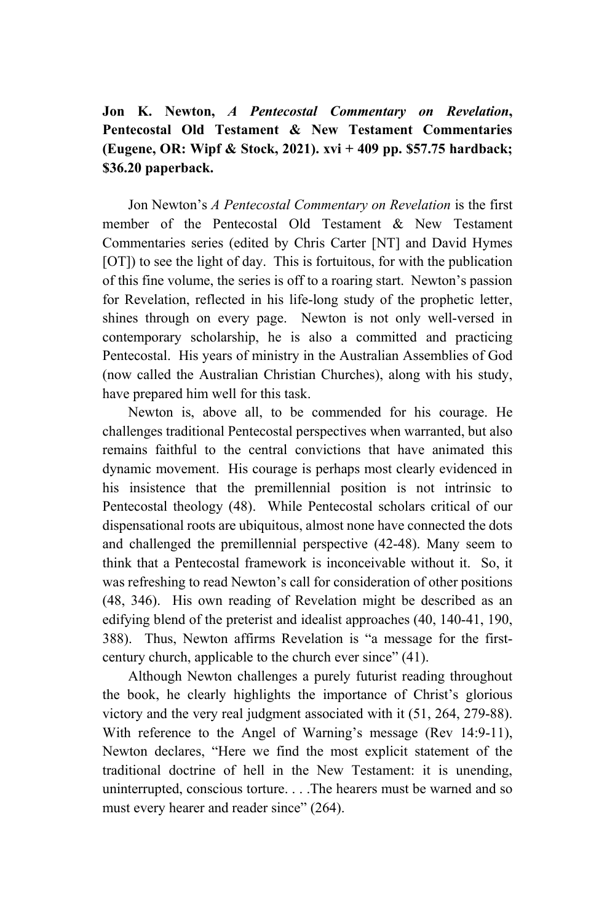## **Jon K. Newton,** *A Pentecostal Commentary on Revelation***, Pentecostal Old Testament & New Testament Commentaries (Eugene, OR: Wipf & Stock, 2021). xvi + 409 pp. \$57.75 hardback; \$36.20 paperback.**

Jon Newton's *A Pentecostal Commentary on Revelation* is the first member of the Pentecostal Old Testament & New Testament Commentaries series (edited by Chris Carter [NT] and David Hymes [OT]) to see the light of day. This is fortuitous, for with the publication of this fine volume, the series is off to a roaring start. Newton's passion for Revelation, reflected in his life-long study of the prophetic letter, shines through on every page. Newton is not only well-versed in contemporary scholarship, he is also a committed and practicing Pentecostal. His years of ministry in the Australian Assemblies of God (now called the Australian Christian Churches), along with his study, have prepared him well for this task.

Newton is, above all, to be commended for his courage. He challenges traditional Pentecostal perspectives when warranted, but also remains faithful to the central convictions that have animated this dynamic movement. His courage is perhaps most clearly evidenced in his insistence that the premillennial position is not intrinsic to Pentecostal theology (48). While Pentecostal scholars critical of our dispensational roots are ubiquitous, almost none have connected the dots and challenged the premillennial perspective (42-48). Many seem to think that a Pentecostal framework is inconceivable without it. So, it was refreshing to read Newton's call for consideration of other positions (48, 346). His own reading of Revelation might be described as an edifying blend of the preterist and idealist approaches (40, 140-41, 190, 388). Thus, Newton affirms Revelation is "a message for the firstcentury church, applicable to the church ever since" (41).

Although Newton challenges a purely futurist reading throughout the book, he clearly highlights the importance of Christ's glorious victory and the very real judgment associated with it (51, 264, 279-88). With reference to the Angel of Warning's message (Rev 14:9-11), Newton declares, "Here we find the most explicit statement of the traditional doctrine of hell in the New Testament: it is unending, uninterrupted, conscious torture. . . .The hearers must be warned and so must every hearer and reader since" (264).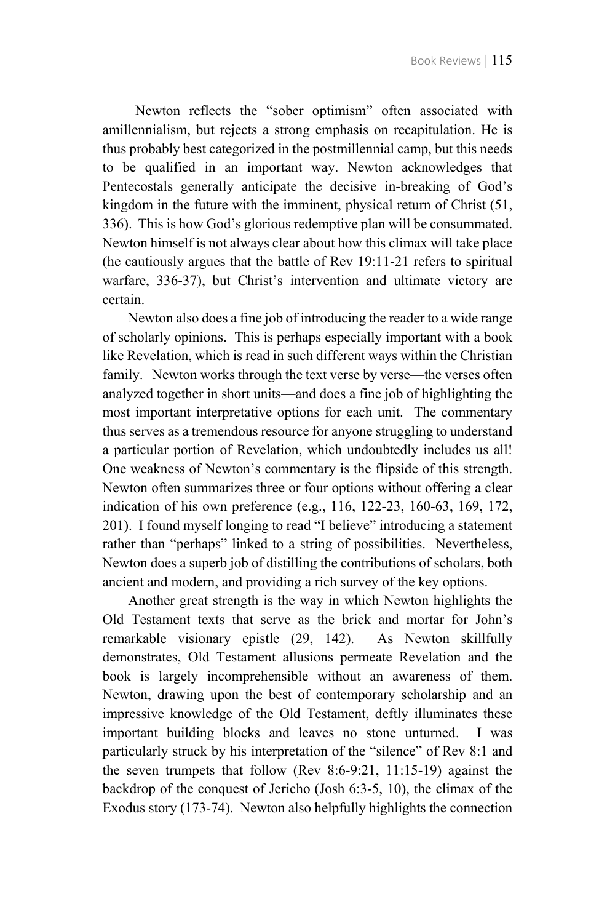Newton reflects the "sober optimism" often associated with amillennialism, but rejects a strong emphasis on recapitulation. He is thus probably best categorized in the postmillennial camp, but this needs to be qualified in an important way. Newton acknowledges that Pentecostals generally anticipate the decisive in-breaking of God's kingdom in the future with the imminent, physical return of Christ (51, 336). This is how God's glorious redemptive plan will be consummated. Newton himself is not always clear about how this climax will take place (he cautiously argues that the battle of Rev 19:11-21 refers to spiritual warfare, 336-37), but Christ's intervention and ultimate victory are certain.

Newton also does a fine job of introducing the reader to a wide range of scholarly opinions. This is perhaps especially important with a book like Revelation, which is read in such different ways within the Christian family. Newton works through the text verse by verse—the verses often analyzed together in short units—and does a fine job of highlighting the most important interpretative options for each unit. The commentary thus serves as a tremendous resource for anyone struggling to understand a particular portion of Revelation, which undoubtedly includes us all! One weakness of Newton's commentary is the flipside of this strength. Newton often summarizes three or four options without offering a clear indication of his own preference (e.g., 116, 122-23, 160-63, 169, 172, 201). I found myself longing to read "I believe" introducing a statement rather than "perhaps" linked to a string of possibilities. Nevertheless, Newton does a superb job of distilling the contributions of scholars, both ancient and modern, and providing a rich survey of the key options.

Another great strength is the way in which Newton highlights the Old Testament texts that serve as the brick and mortar for John's remarkable visionary epistle (29, 142). As Newton skillfully demonstrates, Old Testament allusions permeate Revelation and the book is largely incomprehensible without an awareness of them. Newton, drawing upon the best of contemporary scholarship and an impressive knowledge of the Old Testament, deftly illuminates these important building blocks and leaves no stone unturned. I was particularly struck by his interpretation of the "silence" of Rev 8:1 and the seven trumpets that follow (Rev 8:6-9:21, 11:15-19) against the backdrop of the conquest of Jericho (Josh 6:3-5, 10), the climax of the Exodus story (173-74). Newton also helpfully highlights the connection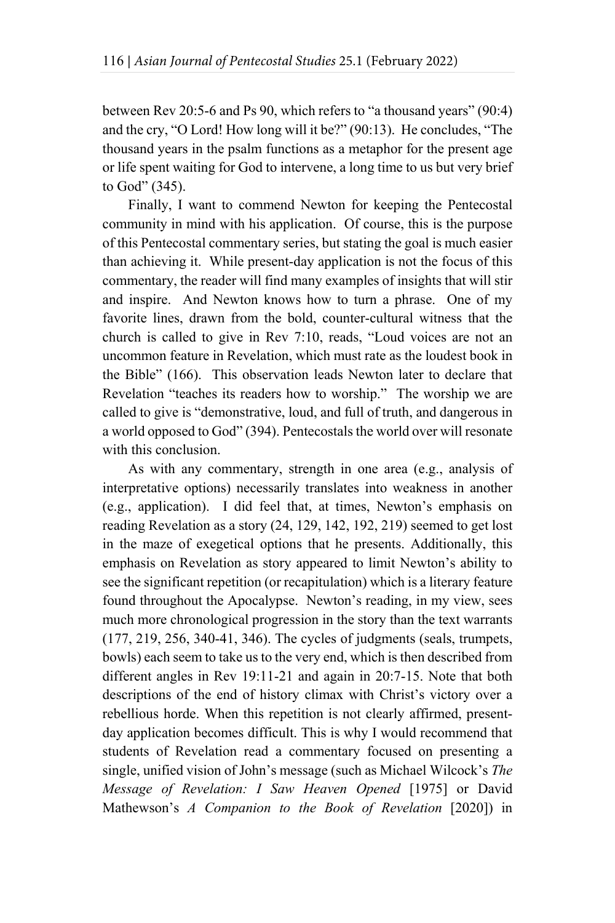between Rev 20:5-6 and Ps 90, which refers to "a thousand years" (90:4) and the cry, "O Lord! How long will it be?" (90:13). He concludes, "The thousand years in the psalm functions as a metaphor for the present age or life spent waiting for God to intervene, a long time to us but very brief to God" (345).

Finally, I want to commend Newton for keeping the Pentecostal community in mind with his application. Of course, this is the purpose of this Pentecostal commentary series, but stating the goal is much easier than achieving it. While present-day application is not the focus of this commentary, the reader will find many examples of insights that will stir and inspire. And Newton knows how to turn a phrase. One of my favorite lines, drawn from the bold, counter-cultural witness that the church is called to give in Rev 7:10, reads, "Loud voices are not an uncommon feature in Revelation, which must rate as the loudest book in the Bible" (166). This observation leads Newton later to declare that Revelation "teaches its readers how to worship." The worship we are called to give is "demonstrative, loud, and full of truth, and dangerous in a world opposed to God" (394). Pentecostals the world over will resonate with this conclusion.

As with any commentary, strength in one area (e.g., analysis of interpretative options) necessarily translates into weakness in another (e.g., application). I did feel that, at times, Newton's emphasis on reading Revelation as a story (24, 129, 142, 192, 219) seemed to get lost in the maze of exegetical options that he presents. Additionally, this emphasis on Revelation as story appeared to limit Newton's ability to see the significant repetition (or recapitulation) which is a literary feature found throughout the Apocalypse. Newton's reading, in my view, sees much more chronological progression in the story than the text warrants (177, 219, 256, 340-41, 346). The cycles of judgments (seals, trumpets, bowls) each seem to take us to the very end, which is then described from different angles in Rev 19:11-21 and again in 20:7-15. Note that both descriptions of the end of history climax with Christ's victory over a rebellious horde. When this repetition is not clearly affirmed, presentday application becomes difficult. This is why I would recommend that students of Revelation read a commentary focused on presenting a single, unified vision of John's message (such as Michael Wilcock's *The Message of Revelation: I Saw Heaven Opened* [1975] or David Mathewson's *A Companion to the Book of Revelation* [2020]) in